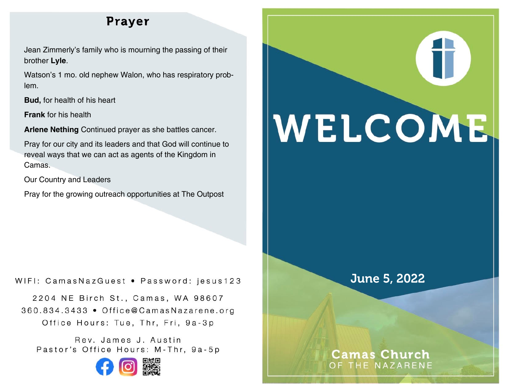# Prayer

Jean Zimmerly's family who is mourning the passing of their brother **Lyle**.

Watson's 1 mo. old nephew Walon, who has respiratory problem.

**Bud,** for health of his heart

**Frank** for his health

**Arlene Nething** Continued prayer as she battles cancer.

Pray for our city and its leaders and that God will continue to reveal ways that we can act as agents of the Kingdom in Camas.

Our Country and Leaders

Pray for the growing outreach opportunities at The Outpost

WIFI: CamasNazGuest • Password: jesus123

2204 NE Birch St., Camas, WA 98607 360.834.3433 • Office@CamasNazarene.org Office Hours: Tue, Thr, Fri, 9a-3p

Rev. James J. Austin Pastor's Office Hours: M-Thr, 9a-5p



# WELCOME

# June 5, 2022

## **Camas Church** OF THE NAZARENE